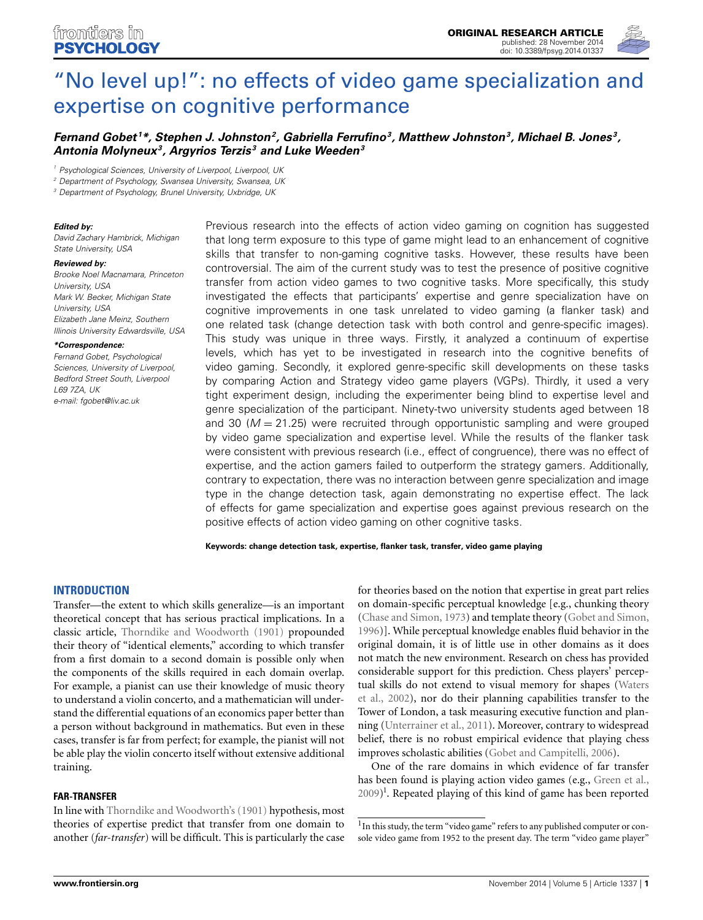

# ["No level up!": no effects of video game specialization and](http://www.frontiersin.org/journal/10.3389/fpsyg.2014.01337/abstract) expertise on cognitive performance

# *[Fernand Gobet](http://community.frontiersin.org/people/u/32115) <sup>1</sup> \*, [Stephen J. Johnston](http://community.frontiersin.org/people/u/165918)2, Gabriella Ferrufino3, Matthew Johnston3, Michael B. Jones 3, Antonia Molyneux3, Argyrios Terzis <sup>3</sup> and Luke Weeden3*

*<sup>1</sup> Psychological Sciences, University of Liverpool, Liverpool, UK*

*<sup>2</sup> Department of Psychology, Swansea University, Swansea, UK*

*<sup>3</sup> Department of Psychology, Brunel University, Uxbridge, UK*

#### *Edited by:*

*David Zachary Hambrick, Michigan State University, USA*

#### *Reviewed by:*

*Brooke Noel Macnamara, Princeton University, USA Mark W. Becker, Michigan State University, USA Elizabeth Jane Meinz, Southern Illinois University Edwardsville, USA*

*\*Correspondence:*

*Fernand Gobet, Psychological Sciences, University of Liverpool, Bedford Street South, Liverpool L69 7ZA, UK e-mail: [fgobet@liv.ac.uk](mailto:fgobet@liv.ac.uk)*

Previous research into the effects of action video gaming on cognition has suggested that long term exposure to this type of game might lead to an enhancement of cognitive skills that transfer to non-gaming cognitive tasks. However, these results have been controversial. The aim of the current study was to test the presence of positive cognitive transfer from action video games to two cognitive tasks. More specifically, this study investigated the effects that participants' expertise and genre specialization have on cognitive improvements in one task unrelated to video gaming (a flanker task) and one related task (change detection task with both control and genre-specific images). This study was unique in three ways. Firstly, it analyzed a continuum of expertise levels, which has yet to be investigated in research into the cognitive benefits of video gaming. Secondly, it explored genre-specific skill developments on these tasks by comparing Action and Strategy video game players (VGPs). Thirdly, it used a very tight experiment design, including the experimenter being blind to expertise level and genre specialization of the participant. Ninety-two university students aged between 18 and 30  $(M = 21.25)$  were recruited through opportunistic sampling and were grouped by video game specialization and expertise level. While the results of the flanker task were consistent with previous research (i.e., effect of congruence), there was no effect of expertise, and the action gamers failed to outperform the strategy gamers. Additionally, contrary to expectation, there was no interaction between genre specialization and image type in the change detection task, again demonstrating no expertise effect. The lack of effects for game specialization and expertise goes against previous research on the positive effects of action video gaming on other cognitive tasks.

**Keywords: change detection task, expertise, flanker task, transfer, video game playing**

#### **INTRODUCTION**

Transfer—the extent to which skills generalize—is an important theoretical concept that has serious practical implications. In a classic article, [Thorndike and Woodworth](#page-8-0) [\(1901\)](#page-8-0) propounded their theory of "identical elements," according to which transfer from a first domain to a second domain is possible only when the components of the skills required in each domain overlap. For example, a pianist can use their knowledge of music theory to understand a violin concerto, and a mathematician will understand the differential equations of an economics paper better than a person without background in mathematics. But even in these cases, transfer is far from perfect; for example, the pianist will not be able play the violin concerto itself without extensive additional training.

#### **FAR-TRANSFER**

In line with [Thorndike and Woodworth's](#page-8-0) [\(1901\)](#page-8-0) hypothesis, most theories of expertise predict that transfer from one domain to another (*far-transfer*) will be difficult. This is particularly the case

for theories based on the notion that expertise in great part relies on domain-specific perceptual knowledge [e.g., chunking theory [\(Chase and Simon](#page-7-0), [1973\)](#page-7-0) and template theory [\(Gobet and Simon,](#page-7-1) [1996](#page-7-1))]. While perceptual knowledge enables fluid behavior in the original domain, it is of little use in other domains as it does not match the new environment. Research on chess has provided considerable support for this prediction. Chess players' perceptual [skills do not extend to visual memory for shapes \(](#page-8-1)Waters et al., [2002\)](#page-8-1), nor do their planning capabilities transfer to the Tower of London, a task measuring executive function and planning [\(Unterrainer et al., 2011\)](#page-8-2). Moreover, contrary to widespread belief, there is no robust empirical evidence that playing chess improves scholastic abilities [\(Gobet and Campitelli](#page-7-2), [2006](#page-7-2)).

One of the rare domains in which evidence of far transfer has been found is playing action video games (e.g., [Green et al.,](#page-7-3) [2009](#page-7-3)) 1 . Repeated playing of this kind of game has been reported

 $^{\rm l}$  In this study, the term "video game" refers to any published computer or console video game from 1952 to the present day. The term "video game player"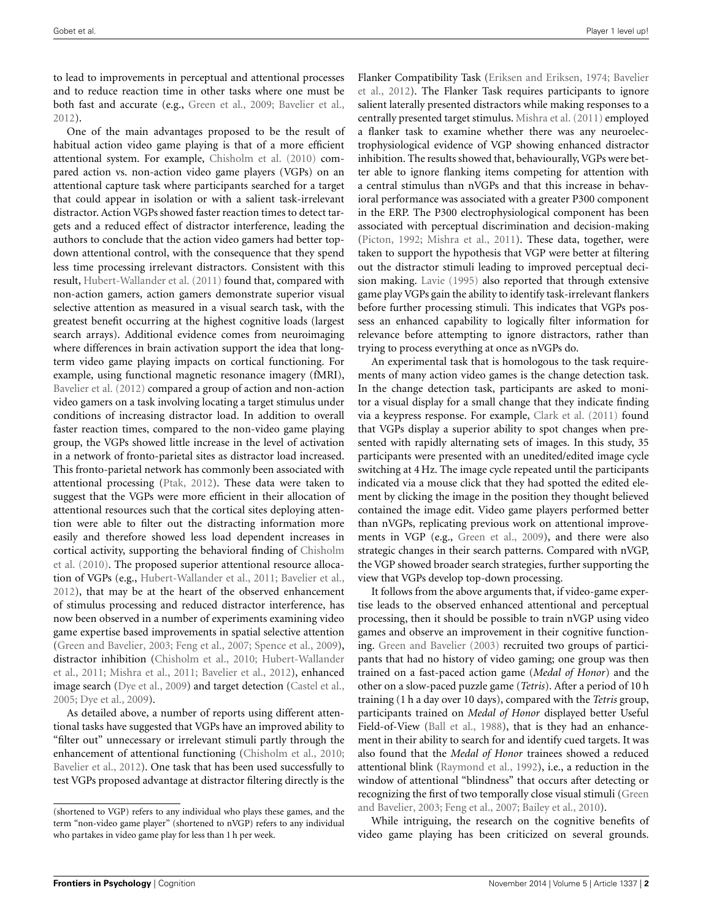to lead to improvements in perceptual and attentional processes and to reduce reaction time in other tasks where one must be both fast and accurate (e.g., [Green et al., 2009](#page-7-3); [Bavelier et al.](#page-7-4), [2012](#page-7-4)).

One of the main advantages proposed to be the result of habitual action video game playing is that of a more efficient attentional system. For example, [Chisholm et al.](#page-7-5) [\(2010](#page-7-5)) compared action vs. non-action video game players (VGPs) on an attentional capture task where participants searched for a target that could appear in isolation or with a salient task-irrelevant distractor. Action VGPs showed faster reaction times to detect targets and a reduced effect of distractor interference, leading the authors to conclude that the action video gamers had better topdown attentional control, with the consequence that they spend less time processing irrelevant distractors. Consistent with this result, [Hubert-Wallander et al.](#page-7-6) [\(2011](#page-7-6)) found that, compared with non-action gamers, action gamers demonstrate superior visual selective attention as measured in a visual search task, with the greatest benefit occurring at the highest cognitive loads (largest search arrays). Additional evidence comes from neuroimaging where differences in brain activation support the idea that longterm video game playing impacts on cortical functioning. For example, using functional magnetic resonance imagery (fMRI), [Bavelier et al.](#page-7-4) [\(2012](#page-7-4)) compared a group of action and non-action video gamers on a task involving locating a target stimulus under conditions of increasing distractor load. In addition to overall faster reaction times, compared to the non-video game playing group, the VGPs showed little increase in the level of activation in a network of fronto-parietal sites as distractor load increased. This fronto-parietal network has commonly been associated with attentional processing [\(Ptak](#page-7-7), [2012](#page-7-7)). These data were taken to suggest that the VGPs were more efficient in their allocation of attentional resources such that the cortical sites deploying attention were able to filter out the distracting information more easily and therefore showed less load dependent increases in corti[cal activity, supporting the behavioral finding of](#page-7-5) Chisholm et al. [\(2010](#page-7-5)). The proposed superior attentional resource allocation of VGPs (e.g., [Hubert-Wallander et al., 2011](#page-7-6); [Bavelier et al.](#page-7-4), [2012](#page-7-4)), that may be at the heart of the observed enhancement of stimulus processing and reduced distractor interference, has now been observed in a number of experiments examining video game expertise based improvements in spatial selective attention [\(Green and Bavelier](#page-7-8), [2003](#page-7-8); [Feng et al., 2007;](#page-7-9) [Spence et al.](#page-8-3), [2009\)](#page-8-3), distr[actor inhibition](#page-7-6) [\(Chisholm et al., 2010](#page-7-5)[;](#page-7-6) Hubert-Wallander et al., [2011;](#page-7-6) [Mishra et al., 2011;](#page-7-10) [Bavelier et al., 2012\)](#page-7-4), enhanced image search [\(Dye et al.](#page-7-11), [2009](#page-7-11)) and target detection [\(Castel et al.](#page-7-12), [2005](#page-7-12); [Dye et al.](#page-7-11), [2009\)](#page-7-11).

As detailed above, a number of reports using different attentional tasks have suggested that VGPs have an improved ability to "filter out" unnecessary or irrelevant stimuli partly through the enhancement of attentional functioning [\(Chisholm et al., 2010;](#page-7-5) [Bavelier et al.](#page-7-4), [2012](#page-7-4)). One task that has been used successfully to test VGPs proposed advantage at distractor filtering directly is the Flan[ker Compatibility Task](#page-7-4) [\(Eriksen and Eriksen](#page-7-13)[,](#page-7-4) [1974](#page-7-13)[;](#page-7-4) Bavelier et al., [2012](#page-7-4)). The Flanker Task requires participants to ignore salient laterally presented distractors while making responses to a centrally presented target stimulus. [Mishra et al.](#page-7-10) [\(2011](#page-7-10)) employed a flanker task to examine whether there was any neuroelectrophysiological evidence of VGP showing enhanced distractor inhibition. The results showed that, behaviourally, VGPs were better able to ignore flanking items competing for attention with a central stimulus than nVGPs and that this increase in behavioral performance was associated with a greater P300 component in the ERP. The P300 electrophysiological component has been associated with perceptual discrimination and decision-making [\(Picton](#page-7-14), [1992;](#page-7-14) [Mishra et al.](#page-7-10), [2011\)](#page-7-10). These data, together, were taken to support the hypothesis that VGP were better at filtering out the distractor stimuli leading to improved perceptual decision making. [Lavie](#page-7-15) [\(1995\)](#page-7-15) also reported that through extensive game play VGPs gain the ability to identify task-irrelevant flankers before further processing stimuli. This indicates that VGPs possess an enhanced capability to logically filter information for relevance before attempting to ignore distractors, rather than trying to process everything at once as nVGPs do.

An experimental task that is homologous to the task requirements of many action video games is the change detection task. In the change detection task, participants are asked to monitor a visual display for a small change that they indicate finding via a keypress response. For example, [Clark et al.](#page-7-16) [\(2011](#page-7-16)) found that VGPs display a superior ability to spot changes when presented with rapidly alternating sets of images. In this study, 35 participants were presented with an unedited/edited image cycle switching at 4 Hz. The image cycle repeated until the participants indicated via a mouse click that they had spotted the edited element by clicking the image in the position they thought believed contained the image edit. Video game players performed better than nVGPs, replicating previous work on attentional improvements in VGP (e.g., [Green et al., 2009](#page-7-3)), and there were also strategic changes in their search patterns. Compared with nVGP, the VGP showed broader search strategies, further supporting the view that VGPs develop top-down processing.

It follows from the above arguments that, if video-game expertise leads to the observed enhanced attentional and perceptual processing, then it should be possible to train nVGP using video games and observe an improvement in their cognitive functioning. [Green and Bavelier](#page-7-8) [\(2003\)](#page-7-8) recruited two groups of participants that had no history of video gaming; one group was then trained on a fast-paced action game (*Medal of Honor*) and the other on a slow-paced puzzle game (*Tetris*). After a period of 10 h training (1 h a day over 10 days), compared with the *Tetris* group, participants trained on *Medal of Honor* displayed better Useful Field-of-View [\(Ball et al., 1988](#page-7-17)), that is they had an enhancement in their ability to search for and identify cued targets. It was also found that the *Medal of Honor* trainees showed a reduced attentional blink [\(Raymond et al., 1992](#page-7-18)), i.e., a reduction in the window of attentional "blindness" that occurs after detecting or recognizing [the first of two temporally close visual stimuli \(](#page-7-8)Green and Bavelier, [2003;](#page-7-8) [Feng et al.](#page-7-9), [2007](#page-7-9); [Bailey et al., 2010](#page-7-19)).

While intriguing, the research on the cognitive benefits of video game playing has been criticized on several grounds.

<sup>(</sup>shortened to VGP) refers to any individual who plays these games, and the term "non-video game player" (shortened to nVGP) refers to any individual who partakes in video game play for less than 1 h per week.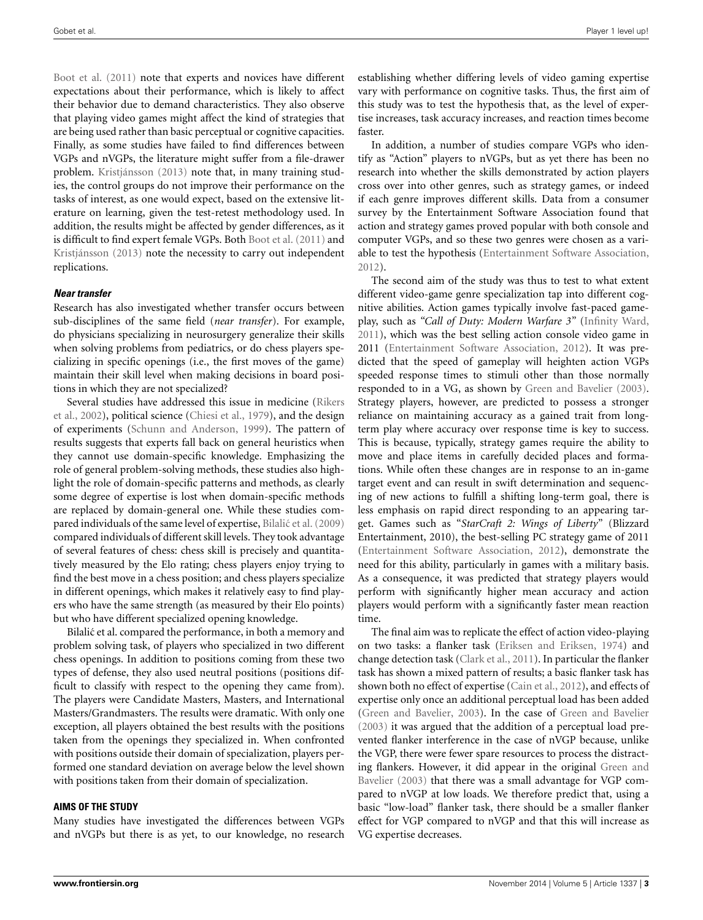[Boot et al.](#page-7-20) [\(2011\)](#page-7-20) note that experts and novices have different expectations about their performance, which is likely to affect their behavior due to demand characteristics. They also observe that playing video games might affect the kind of strategies that are being used rather than basic perceptual or cognitive capacities. Finally, as some studies have failed to find differences between VGPs and nVGPs, the literature might suffer from a file-drawer problem. [Kristjánsson](#page-7-21) [\(2013](#page-7-21)) note that, in many training studies, the control groups do not improve their performance on the tasks of interest, as one would expect, based on the extensive literature on learning, given the test-retest methodology used. In addition, the results might be affected by gender differences, as it is difficult to find expert female VGPs. Both [Boot et al.](#page-7-20) [\(2011](#page-7-20)) and [Kristjánsson](#page-7-21) [\(2013](#page-7-21)) note the necessity to carry out independent replications.

#### *Near transfer*

Research has also investigated whether transfer occurs between sub-disciplines of the same field (*near transfer*). For example, do physicians specializing in neurosurgery generalize their skills when solving problems from pediatrics, or do chess players specializing in specific openings (i.e., the first moves of the game) maintain their skill level when making decisions in board positions in which they are not specialized?

S[everal studies have addressed this issue in medicine \(](#page-8-4)Rikers et al., [2002](#page-8-4)), political science [\(Chiesi et al.](#page-7-22), [1979\)](#page-7-22), and the design of experiments [\(Schunn and Anderson](#page-8-5), [1999\)](#page-8-5). The pattern of results suggests that experts fall back on general heuristics when they cannot use domain-specific knowledge. Emphasizing the role of general problem-solving methods, these studies also highlight the role of domain-specific patterns and methods, as clearly some degree of expertise is lost when domain-specific methods are replaced by domain-general one. While these studies com-pared individuals of the same level of expertise, Bilalić et al. [\(2009](#page-7-23)) compared individuals of different skill levels. They took advantage of several features of chess: chess skill is precisely and quantitatively measured by the Elo rating; chess players enjoy trying to find the best move in a chess position; and chess players specialize in different openings, which makes it relatively easy to find players who have the same strength (as measured by their Elo points) but who have different specialized opening knowledge.

Bilalić et al. compared the performance, in both a memory and problem solving task, of players who specialized in two different chess openings. In addition to positions coming from these two types of defense, they also used neutral positions (positions difficult to classify with respect to the opening they came from). The players were Candidate Masters, Masters, and International Masters/Grandmasters. The results were dramatic. With only one exception, all players obtained the best results with the positions taken from the openings they specialized in. When confronted with positions outside their domain of specialization, players performed one standard deviation on average below the level shown with positions taken from their domain of specialization.

#### **AIMS OF THE STUDY**

Many studies have investigated the differences between VGPs and nVGPs but there is as yet, to our knowledge, no research establishing whether differing levels of video gaming expertise vary with performance on cognitive tasks. Thus, the first aim of this study was to test the hypothesis that, as the level of expertise increases, task accuracy increases, and reaction times become faster.

In addition, a number of studies compare VGPs who identify as "Action" players to nVGPs, but as yet there has been no research into whether the skills demonstrated by action players cross over into other genres, such as strategy games, or indeed if each genre improves different skills. Data from a consumer survey by the Entertainment Software Association found that action and strategy games proved popular with both console and computer VGPs, and so these two genres were chosen as a variable to test the hypothesis [\(Entertainment Software Association,](#page-7-24) [2012](#page-7-24)).

The second aim of the study was thus to test to what extent different video-game genre specialization tap into different cognitive abilities. Action games typically involve fast-paced gameplay, such as *"Call of Duty: Modern Warfare 3"* [\(Infinity Ward](#page-7-25), [2011](#page-7-25)), which was the best selling action console video game in 2011 [\(Entertainment Software Association](#page-7-24), [2012](#page-7-24)). It was predicted that the speed of gameplay will heighten action VGPs speeded response times to stimuli other than those normally responded to in a VG, as shown by [Green and Bavelier](#page-7-8) [\(2003](#page-7-8)). Strategy players, however, are predicted to possess a stronger reliance on maintaining accuracy as a gained trait from longterm play where accuracy over response time is key to success. This is because, typically, strategy games require the ability to move and place items in carefully decided places and formations. While often these changes are in response to an in-game target event and can result in swift determination and sequencing of new actions to fulfill a shifting long-term goal, there is less emphasis on rapid direct responding to an appearing target. Games such as "*StarCraft 2: Wings of Liberty*" (Blizzard Entertainment, 2010), the best-selling PC strategy game of 2011 [\(Entertainment Software Association](#page-7-24), [2012](#page-7-24)), demonstrate the need for this ability, particularly in games with a military basis. As a consequence, it was predicted that strategy players would perform with significantly higher mean accuracy and action players would perform with a significantly faster mean reaction time.

The final aim was to replicate the effect of action video-playing on two tasks: a flanker task [\(Eriksen and Eriksen, 1974\)](#page-7-13) and change detection task [\(Clark et al., 2011](#page-7-16)). In particular the flanker task has shown a mixed pattern of results; a basic flanker task has shown both no effect of expertise [\(Cain et al.](#page-7-26), [2012\)](#page-7-26), and effects of expertise only once an additional perceptual load has been added [\(Green and Bavelier, 2003](#page-7-8)). In the case of [Green and Bavelier](#page-7-8) [\(2003\)](#page-7-8) it was argued that the addition of a perceptual load prevented flanker interference in the case of nVGP because, unlike the VGP, there were fewer spare resources to process the distracting fla[nkers.](#page-7-8) [However,](#page-7-8) [it](#page-7-8) [did](#page-7-8) [appear](#page-7-8) [in](#page-7-8) [the](#page-7-8) [original](#page-7-8) Green and Bavelier [\(2003](#page-7-8)) that there was a small advantage for VGP compared to nVGP at low loads. We therefore predict that, using a basic "low-load" flanker task, there should be a smaller flanker effect for VGP compared to nVGP and that this will increase as VG expertise decreases.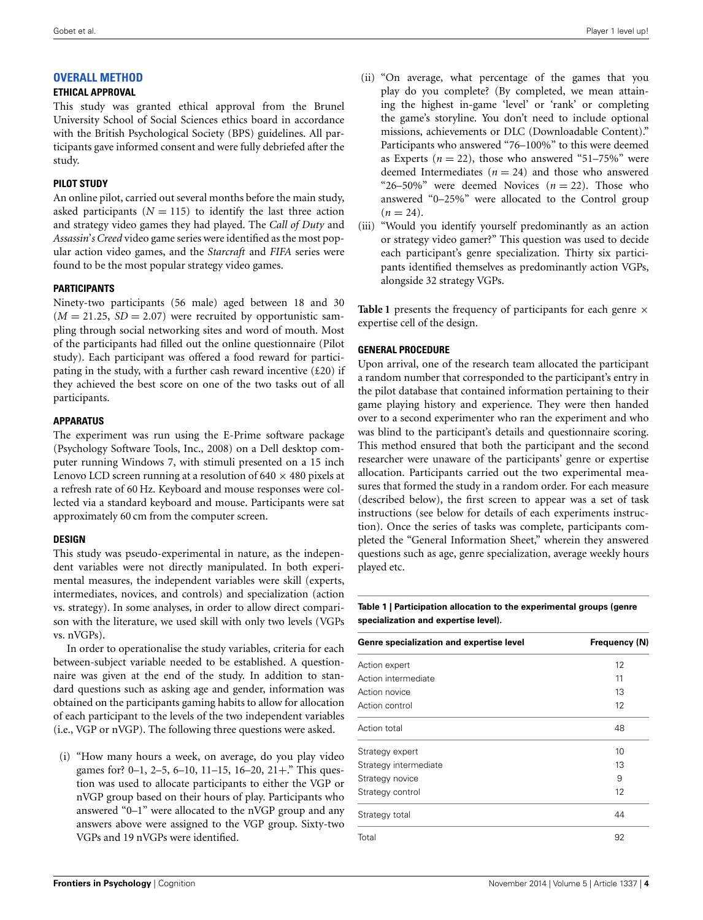# **OVERALL METHOD**

## **ETHICAL APPROVAL**

This study was granted ethical approval from the Brunel University School of Social Sciences ethics board in accordance with the British Psychological Society (BPS) guidelines. All participants gave informed consent and were fully debriefed after the study.

# **PILOT STUDY**

An online pilot, carried out several months before the main study, asked participants  $(N = 115)$  to identify the last three action and strategy video games they had played. The *Call of Duty* and *Assassin*'*s Creed* video game series were identified as the most popular action video games, and the *Starcraft* and *FIFA* series were found to be the most popular strategy video games.

# **PARTICIPANTS**

Ninety-two participants (56 male) aged between 18 and 30  $(M = 21.25, SD = 2.07)$  were recruited by opportunistic sampling through social networking sites and word of mouth. Most of the participants had filled out the online questionnaire (Pilot study). Each participant was offered a food reward for participating in the study, with a further cash reward incentive  $(£20)$  if they achieved the best score on one of the two tasks out of all participants.

## **APPARATUS**

The experiment was run using the E-Prime software package (Psychology Software Tools, Inc., 2008) on a Dell desktop computer running Windows 7, with stimuli presented on a 15 inch Lenovo LCD screen running at a resolution of  $640 \times 480$  pixels at a refresh rate of 60 Hz. Keyboard and mouse responses were collected via a standard keyboard and mouse. Participants were sat approximately 60 cm from the computer screen.

# **DESIGN**

This study was pseudo-experimental in nature, as the independent variables were not directly manipulated. In both experimental measures, the independent variables were skill (experts, intermediates, novices, and controls) and specialization (action vs. strategy). In some analyses, in order to allow direct comparison with the literature, we used skill with only two levels (VGPs vs. nVGPs).

In order to operationalise the study variables, criteria for each between-subject variable needed to be established. A questionnaire was given at the end of the study. In addition to standard questions such as asking age and gender, information was obtained on the participants gaming habits to allow for allocation of each participant to the levels of the two independent variables (i.e., VGP or nVGP). The following three questions were asked.

(i) "How many hours a week, on average, do you play video games for? 0–1, 2–5, 6–10, 11–15, 16–20, 21+." This question was used to allocate participants to either the VGP or nVGP group based on their hours of play. Participants who answered "0–1" were allocated to the nVGP group and any answers above were assigned to the VGP group. Sixty-two VGPs and 19 nVGPs were identified.

- (ii) "On average, what percentage of the games that you play do you complete? (By completed, we mean attaining the highest in-game 'level' or 'rank' or completing the game's storyline. You don't need to include optional missions, achievements or DLC (Downloadable Content)." Participants who answered "76–100%" to this were deemed as Experts  $(n = 22)$ , those who answered "51–75%" were deemed Intermediates  $(n = 24)$  and those who answered "26–50%" were deemed Novices  $(n = 22)$ . Those who answered "0–25%" were allocated to the Control group  $(n = 24)$ .
- (iii) "Would you identify yourself predominantly as an action or strategy video gamer?" This question was used to decide each participant's genre specialization. Thirty six participants identified themselves as predominantly action VGPs, alongside 32 strategy VGPs.

**[Table 1](#page-3-0)** presents the frequency of participants for each genre  $\times$ expertise cell of the design.

## **GENERAL PROCEDURE**

Upon arrival, one of the research team allocated the participant a random number that corresponded to the participant's entry in the pilot database that contained information pertaining to their game playing history and experience. They were then handed over to a second experimenter who ran the experiment and who was blind to the participant's details and questionnaire scoring. This method ensured that both the participant and the second researcher were unaware of the participants' genre or expertise allocation. Participants carried out the two experimental measures that formed the study in a random order. For each measure (described below), the first screen to appear was a set of task instructions (see below for details of each experiments instruction). Once the series of tasks was complete, participants completed the "General Information Sheet," wherein they answered questions such as age, genre specialization, average weekly hours played etc.

<span id="page-3-0"></span>**Table 1 | Participation allocation to the experimental groups (genre specialization and expertise level).**

| Genre specialization and expertise level | Frequency (N) |
|------------------------------------------|---------------|
| Action expert                            | 12            |
| Action intermediate                      | 11            |
| Action novice                            | 13            |
| Action control                           | 12            |
| Action total                             | 48            |
| Strategy expert                          | 10            |
| Strategy intermediate                    | 13            |
| Strategy novice                          | 9             |
| Strategy control                         | 12            |
| Strategy total                           | 44            |
| Total                                    | 92            |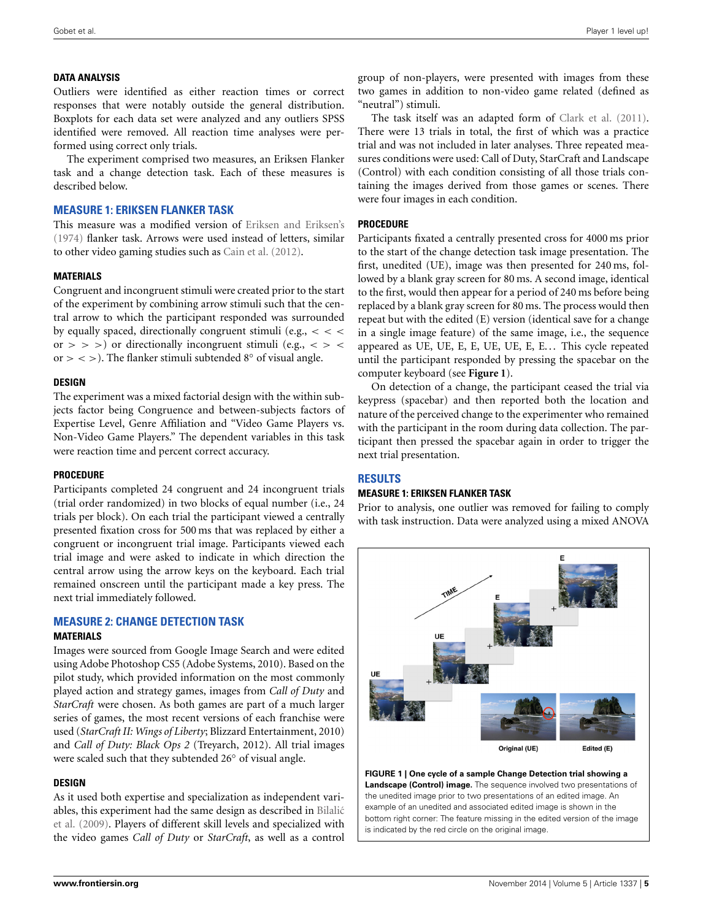#### **DATA ANALYSIS**

Outliers were identified as either reaction times or correct responses that were notably outside the general distribution. Boxplots for each data set were analyzed and any outliers SPSS identified were removed. All reaction time analyses were performed using correct only trials.

The experiment comprised two measures, an Eriksen Flanker task and a change detection task. Each of these measures is described below.

## **MEASURE 1: ERIKSEN FLANKER TASK**

This measure was a modified version of [Eriksen and Eriksen's](#page-7-13) [\(1974\)](#page-7-13) flanker task. Arrows were used instead of letters, similar to other video gaming studies such as [Cain et al.](#page-7-26) [\(2012](#page-7-26)).

#### **MATERIALS**

Congruent and incongruent stimuli were created prior to the start of the experiment by combining arrow stimuli such that the central arrow to which the participant responded was surrounded by equally spaced, directionally congruent stimuli (e.g.,  $\lt$   $\lt$ or  $>$  >  $>$ ) or directionally incongruent stimuli (e.g.,  $<$  >  $<$ or  $>$  < > ). The flanker stimuli subtended  $8°$  of visual angle.

## **DESIGN**

The experiment was a mixed factorial design with the within subjects factor being Congruence and between-subjects factors of Expertise Level, Genre Affiliation and "Video Game Players vs. Non-Video Game Players." The dependent variables in this task were reaction time and percent correct accuracy.

#### **PROCEDURE**

Participants completed 24 congruent and 24 incongruent trials (trial order randomized) in two blocks of equal number (i.e., 24 trials per block). On each trial the participant viewed a centrally presented fixation cross for 500 ms that was replaced by either a congruent or incongruent trial image. Participants viewed each trial image and were asked to indicate in which direction the central arrow using the arrow keys on the keyboard. Each trial remained onscreen until the participant made a key press. The next trial immediately followed.

#### **MEASURE 2: CHANGE DETECTION TASK MATERIALS**

Images were sourced from Google Image Search and were edited using Adobe Photoshop CS5 (Adobe Systems, 2010). Based on the pilot study, which provided information on the most commonly played action and strategy games, images from *Call of Duty* and *StarCraft* were chosen. As both games are part of a much larger series of games, the most recent versions of each franchise were used (*StarCraft II: Wings of Liberty*; Blizzard Entertainment, 2010) and *Call of Duty: Black Ops 2* (Treyarch, 2012). All trial images were scaled such that they subtended 26◦ of visual angle.

#### **DESIGN**

As it used both expertise and specialization as independent variable[s, this experiment had the same design as described in](#page-7-23) Bilalic´ et al. [\(2009](#page-7-23)). Players of different skill levels and specialized with the video games *Call of Duty* or *StarCraft*, as well as a control group of non-players, were presented with images from these two games in addition to non-video game related (defined as "neutral") stimuli.

The task itself was an adapted form of [Clark et al.](#page-7-16) [\(2011](#page-7-16)). There were 13 trials in total, the first of which was a practice trial and was not included in later analyses. Three repeated measures conditions were used: Call of Duty, StarCraft and Landscape (Control) with each condition consisting of all those trials containing the images derived from those games or scenes. There were four images in each condition.

#### **PROCEDURE**

Participants fixated a centrally presented cross for 4000 ms prior to the start of the change detection task image presentation. The first, unedited (UE), image was then presented for 240 ms, followed by a blank gray screen for 80 ms. A second image, identical to the first, would then appear for a period of 240 ms before being replaced by a blank gray screen for 80 ms. The process would then repeat but with the edited (E) version (identical save for a change in a single image feature) of the same image, i.e., the sequence appeared as UE, UE, E, E, UE, UE, E, E... This cycle repeated until the participant responded by pressing the spacebar on the computer keyboard (see **[Figure 1](#page-4-0)**).

On detection of a change, the participant ceased the trial via keypress (spacebar) and then reported both the location and nature of the perceived change to the experimenter who remained with the participant in the room during data collection. The participant then pressed the spacebar again in order to trigger the next trial presentation.

# **RESULTS**

#### **MEASURE 1: ERIKSEN FLANKER TASK**

Prior to analysis, one outlier was removed for failing to comply with task instruction. Data were analyzed using a mixed ANOVA



<span id="page-4-0"></span>**FIGURE 1 | One cycle of a sample Change Detection trial showing a Landscape (Control) image.** The sequence involved two presentations of the unedited image prior to two presentations of an edited image. An example of an unedited and associated edited image is shown in the bottom right corner: The feature missing in the edited version of the image is indicated by the red circle on the original image.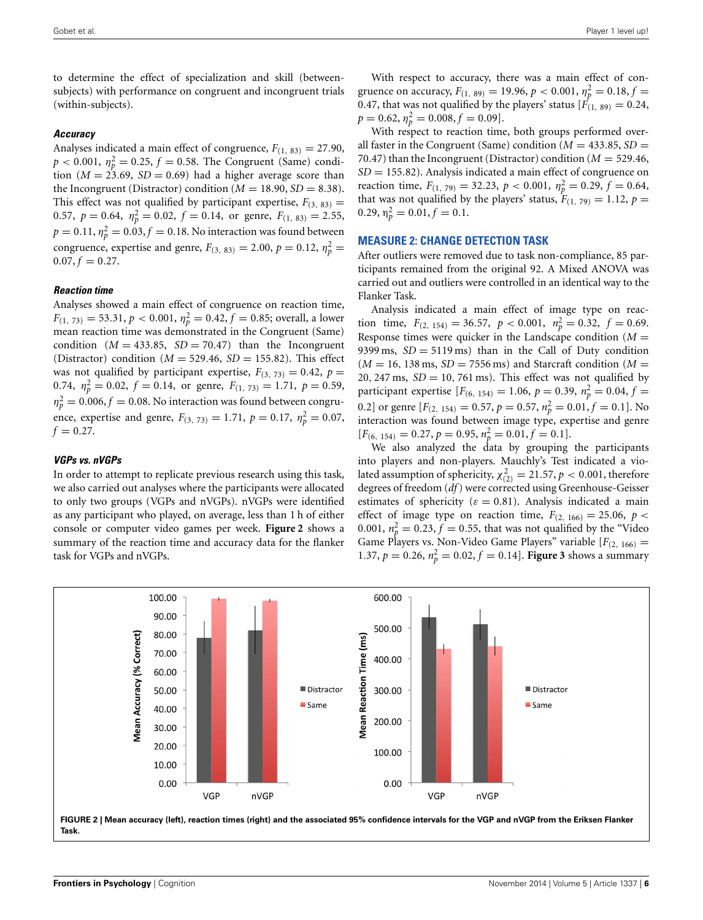to determine the effect of specialization and skill (betweensubjects) with performance on congruent and incongruent trials (within-subjects).

#### *Accuracy*

Analyses indicated a main effect of congruence,  $F_{(1, 83)} = 27.90$ ,  $p < 0.001$ ,  $\eta_p^2 = 0.25$ ,  $f = 0.58$ . The Congruent (Same) condition ( $M = 23.69$ ,  $SD = 0.69$ ) had a higher average score than the Incongruent (Distractor) condition ( $M = 18.90$ ,  $SD = 8.38$ ). This effect was not qualified by participant expertise,  $F_{(3, 83)} =$ 0.57,  $p = 0.64$ ,  $\eta_p^2 = 0.02$ ,  $f = 0.14$ , or genre,  $F_{(1, 83)} = 2.55$ ,  $p = 0.11$ ,  $\eta_p^2 = 0.03$ ,  $f = 0.18$ . No interaction was found between congruence, expertise and genre,  $F_{(3, 83)} = 2.00, p = 0.12, \eta_p^2 =$  $0.07, f = 0.27.$ 

#### *Reaction time*

Analyses showed a main effect of congruence on reaction time,  $F_{(1, 73)} = 53.31, p < 0.001, \eta_p^2 = 0.42, f = 0.85$ ; overall, a lower mean reaction time was demonstrated in the Congruent (Same) condition  $(M = 433.85, SD = 70.47)$  than the Incongruent (Distractor) condition  $(M = 529.46, SD = 155.82)$ . This effect was not qualified by participant expertise,  $F_{(3, 73)} = 0.42$ ,  $p =$ 0.74,  $\eta_p^2 = 0.02$ ,  $f = 0.14$ , or genre,  $F_{(1, 73)} = 1.71$ ,  $p = 0.59$ ,  $\eta_p^2 = 0.006, f = 0.08$ . No interaction was found between congruence, expertise and genre,  $F_{(3, 73)} = 1.71$ ,  $p = 0.17$ ,  $\eta_p^2 = 0.07$ ,  $f = 0.27$ .

#### *VGPs vs. nVGPs*

In order to attempt to replicate previous research using this task, we also carried out analyses where the participants were allocated to only two groups (VGPs and nVGPs). nVGPs were identified as any participant who played, on average, less than 1 h of either console or computer video games per week. **[Figure 2](#page-5-0)** shows a summary of the reaction time and accuracy data for the flanker task for VGPs and nVGPs.

With respect to accuracy, there was a main effect of congruence on accuracy,  $F_{(1, 89)} = 19.96, p < 0.001, \eta_p^2 = 0.18, f =$ 0.47, that was not qualified by the players' status  $[F(1, 89) = 0.24,$  $p = 0.62, \eta_p^2 = 0.008, f = 0.09$ .

With respect to reaction time, both groups performed overall faster in the Congruent (Same) condition ( $M = 433.85$ ,  $SD =$ 70.47) than the Incongruent (Distractor) condition  $(M = 529.46,$ *SD* = 155.82). Analysis indicated a main effect of congruence on reaction time,  $F_{(1, 79)} = 32.23$ ,  $p < 0.001$ ,  $\eta_p^2 = 0.29$ ,  $f = 0.64$ , that was not qualified by the players' status,  $F_{(1, 79)} = 1.12$ ,  $p =$  $0.29, \eta_p^2 = 0.01, f = 0.1.$ 

#### **MEASURE 2: CHANGE DETECTION TASK**

After outliers were removed due to task non-compliance, 85 participants remained from the original 92. A Mixed ANOVA was carried out and outliers were controlled in an identical way to the Flanker Task.

Analysis indicated a main effect of image type on reaction time,  $F_{(2, 154)} = 36.57$ ,  $p < 0.001$ ,  $n_p^2 = 0.32$ ,  $f = 0.69$ . Response times were quicker in the Landscape condition  $(M =$ 9399 ms,  $SD = 5119$  ms) than in the Call of Duty condition  $(M = 16, 138 \text{ ms}, SD = 7556 \text{ ms})$  and Starcraft condition  $(M =$ 20, 247 ms,  $SD = 10$ , 761 ms). This effect was not qualified by participant expertise  $[F_{(6, 154)} = 1.06, p = 0.39, n_p^2 = 0.04, f =$ 0.2] or genre  $[F_{(2, 154)} = 0.57, p = 0.57, n_p^2 = 0.01, f = 0.1]$ . No interaction was found between image type, expertise and genre  $[F_{(6, 154)} = 0.27, p = 0.95, n_p^2 = 0.01, f = 0.1].$ 

We also analyzed the data by grouping the participants into players and non-players. Mauchly's Test indicated a violated assumption of sphericity,  $\chi^2_{(2)} = 21.57, p < 0.001$ , therefore degrees of freedom (*df*) were corrected using Greenhouse-Geisser estimates of sphericity ( $\varepsilon = 0.81$ ). Analysis indicated a main effect of image type on reaction time,  $F_{(2, 166)} = 25.06$ ,  $p <$ 0.001,  $n_p^2 = 0.23$ ,  $f = 0.55$ , that was not qualified by the "Video Game Players vs. Non-Video Game Players" variable  $[F_{(2, 166)}]$  = 1.37,  $p = 0.26$ ,  $n_p^2 = 0.02$ ,  $f = 0.14$ . **[Figure 3](#page-6-0)** shows a summary

<span id="page-5-0"></span>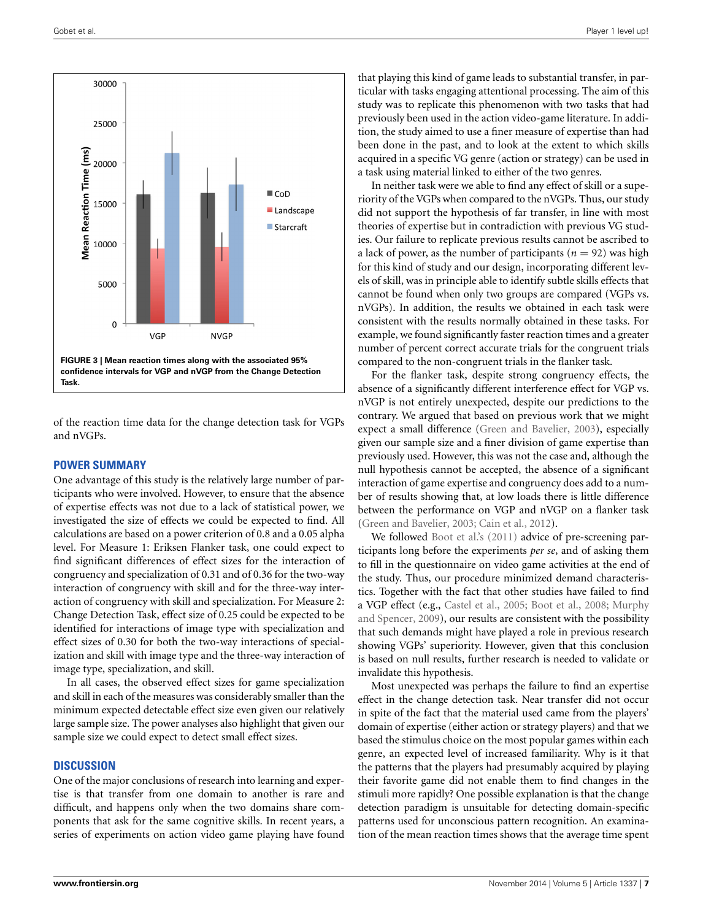

<span id="page-6-0"></span>of the reaction time data for the change detection task for VGPs and nVGPs.

#### **POWER SUMMARY**

One advantage of this study is the relatively large number of participants who were involved. However, to ensure that the absence of expertise effects was not due to a lack of statistical power, we investigated the size of effects we could be expected to find. All calculations are based on a power criterion of 0.8 and a 0.05 alpha level. For Measure 1: Eriksen Flanker task, one could expect to find significant differences of effect sizes for the interaction of congruency and specialization of 0.31 and of 0.36 for the two-way interaction of congruency with skill and for the three-way interaction of congruency with skill and specialization. For Measure 2: Change Detection Task, effect size of 0.25 could be expected to be identified for interactions of image type with specialization and effect sizes of 0.30 for both the two-way interactions of specialization and skill with image type and the three-way interaction of image type, specialization, and skill.

In all cases, the observed effect sizes for game specialization and skill in each of the measures was considerably smaller than the minimum expected detectable effect size even given our relatively large sample size. The power analyses also highlight that given our sample size we could expect to detect small effect sizes.

#### **DISCUSSION**

One of the major conclusions of research into learning and expertise is that transfer from one domain to another is rare and difficult, and happens only when the two domains share components that ask for the same cognitive skills. In recent years, a series of experiments on action video game playing have found

that playing this kind of game leads to substantial transfer, in particular with tasks engaging attentional processing. The aim of this study was to replicate this phenomenon with two tasks that had previously been used in the action video-game literature. In addition, the study aimed to use a finer measure of expertise than had been done in the past, and to look at the extent to which skills acquired in a specific VG genre (action or strategy) can be used in a task using material linked to either of the two genres.

In neither task were we able to find any effect of skill or a superiority of the VGPs when compared to the nVGPs. Thus, our study did not support the hypothesis of far transfer, in line with most theories of expertise but in contradiction with previous VG studies. Our failure to replicate previous results cannot be ascribed to a lack of power, as the number of participants ( $n = 92$ ) was high for this kind of study and our design, incorporating different levels of skill, was in principle able to identify subtle skills effects that cannot be found when only two groups are compared (VGPs vs. nVGPs). In addition, the results we obtained in each task were consistent with the results normally obtained in these tasks. For example, we found significantly faster reaction times and a greater number of percent correct accurate trials for the congruent trials compared to the non-congruent trials in the flanker task.

For the flanker task, despite strong congruency effects, the absence of a significantly different interference effect for VGP vs. nVGP is not entirely unexpected, despite our predictions to the contrary. We argued that based on previous work that we might expect a small difference [\(Green and Bavelier, 2003\)](#page-7-8), especially given our sample size and a finer division of game expertise than previously used. However, this was not the case and, although the null hypothesis cannot be accepted, the absence of a significant interaction of game expertise and congruency does add to a number of results showing that, at low loads there is little difference between the performance on VGP and nVGP on a flanker task [\(Green and Bavelier, 2003](#page-7-8); [Cain et al.](#page-7-26), [2012\)](#page-7-26).

We followed [Boot et al.'s](#page-7-20) [\(2011\)](#page-7-20) advice of pre-screening participants long before the experiments *per se*, and of asking them to fill in the questionnaire on video game activities at the end of the study. Thus, our procedure minimized demand characteristics. Together with the fact that other studies have failed to find a VGP effect (e.g., [Castel et al.](#page-7-12)[,](#page-7-28) [2005;](#page-7-12) [Boot et al.](#page-7-27)[,](#page-7-28) [2008;](#page-7-27) Murphy and Spencer, [2009\)](#page-7-28), our results are consistent with the possibility that such demands might have played a role in previous research showing VGPs' superiority. However, given that this conclusion is based on null results, further research is needed to validate or invalidate this hypothesis.

Most unexpected was perhaps the failure to find an expertise effect in the change detection task. Near transfer did not occur in spite of the fact that the material used came from the players' domain of expertise (either action or strategy players) and that we based the stimulus choice on the most popular games within each genre, an expected level of increased familiarity. Why is it that the patterns that the players had presumably acquired by playing their favorite game did not enable them to find changes in the stimuli more rapidly? One possible explanation is that the change detection paradigm is unsuitable for detecting domain-specific patterns used for unconscious pattern recognition. An examination of the mean reaction times shows that the average time spent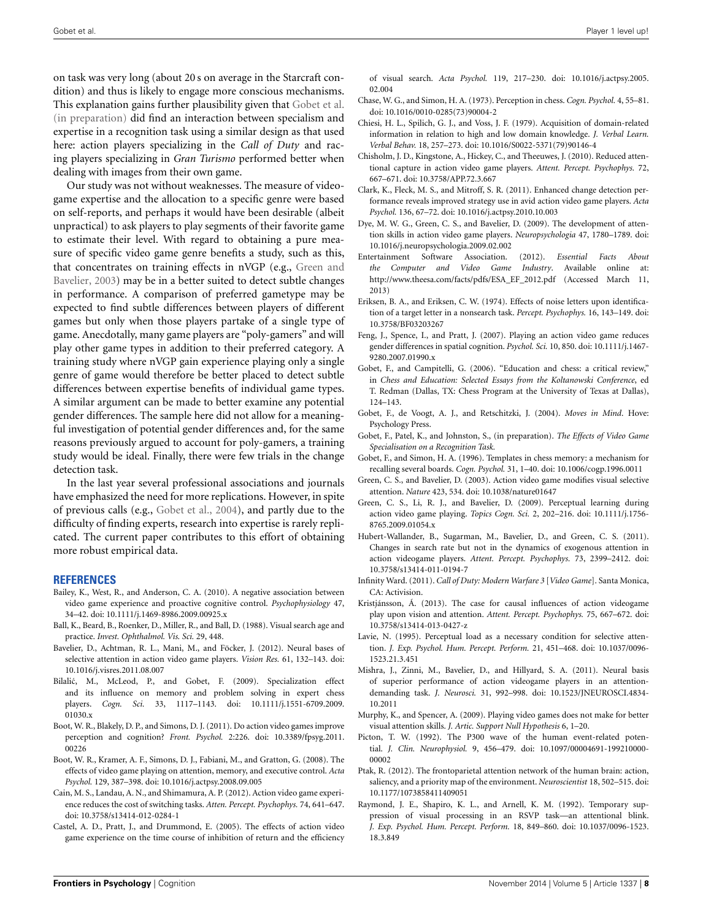Gobet et al. Player 1 level up! All the second second terms of the control of the control of the control of the control of the control of the control of the control of the control of the control of the control of the contr

on task was very long (about 20 s on average in the Starcraft condition) and thus is likely to engage more conscious mechanisms. This explanation gains further plausibility given that [Gobet et al.](#page-7-29) [\(in preparation](#page-7-29)) did find an interaction between specialism and expertise in a recognition task using a similar design as that used here: action players specializing in the *Call of Duty* and racing players specializing in *Gran Turismo* performed better when dealing with images from their own game.

Our study was not without weaknesses. The measure of videogame expertise and the allocation to a specific genre were based on self-reports, and perhaps it would have been desirable (albeit unpractical) to ask players to play segments of their favorite game to estimate their level. With regard to obtaining a pure measure of specific video game genre benefits a study, such as this, that co[ncentrates](#page-7-8) [on](#page-7-8) [training](#page-7-8) [effects](#page-7-8) [in](#page-7-8) [nVGP](#page-7-8) [\(e.g.,](#page-7-8) Green and Bavelier, [2003](#page-7-8)) may be in a better suited to detect subtle changes in performance. A comparison of preferred gametype may be expected to find subtle differences between players of different games but only when those players partake of a single type of game. Anecdotally, many game players are "poly-gamers" and will play other game types in addition to their preferred category. A training study where nVGP gain experience playing only a single genre of game would therefore be better placed to detect subtle differences between expertise benefits of individual game types. A similar argument can be made to better examine any potential gender differences. The sample here did not allow for a meaningful investigation of potential gender differences and, for the same reasons previously argued to account for poly-gamers, a training study would be ideal. Finally, there were few trials in the change detection task.

In the last year several professional associations and journals have emphasized the need for more replications. However, in spite of previous calls (e.g., [Gobet et al.](#page-7-30), [2004\)](#page-7-30), and partly due to the difficulty of finding experts, research into expertise is rarely replicated. The current paper contributes to this effort of obtaining more robust empirical data.

#### **REFERENCES**

- <span id="page-7-19"></span>Bailey, K., West, R., and Anderson, C. A. (2010). A negative association between video game experience and proactive cognitive control. *Psychophysiology* 47, 34–42. doi: 10.1111/j.1469-8986.2009.00925.x
- <span id="page-7-17"></span>Ball, K., Beard, B., Roenker, D., Miller, R., and Ball, D. (1988). Visual search age and practice. *Invest. Ophthalmol. Vis. Sci.* 29, 448.
- <span id="page-7-4"></span>Bavelier, D., Achtman, R. L., Mani, M., and Föcker, J. (2012). Neural bases of selective attention in action video game players. *Vision Res.* 61, 132–143. doi: 10.1016/j.visres.2011.08.007
- <span id="page-7-23"></span>Bilalić, M., McLeod, P., and Gobet, F. (2009). Specialization effect and its influence on memory and problem solving in expert chess players. *Cogn. Sci.* 33, 1117–1143. doi: 10.1111/j.1551-6709.2009. 01030.x
- <span id="page-7-20"></span>Boot, W. R., Blakely, D. P., and Simons, D. J. (2011). Do action video games improve perception and cognition? *Front. Psychol.* 2:226. doi: 10.3389/fpsyg.2011. 00226
- <span id="page-7-27"></span>Boot, W. R., Kramer, A. F., Simons, D. J., Fabiani, M., and Gratton, G. (2008). The effects of video game playing on attention, memory, and executive control. *Acta Psychol.* 129, 387–398. doi: 10.1016/j.actpsy.2008.09.005
- <span id="page-7-26"></span>Cain, M. S., Landau, A. N., and Shimamura, A. P. (2012). Action video game experience reduces the cost of switching tasks. *Atten. Percept. Psychophys.* 74, 641–647. doi: 10.3758/s13414-012-0284-1
- <span id="page-7-12"></span>Castel, A. D., Pratt, J., and Drummond, E. (2005). The effects of action video game experience on the time course of inhibition of return and the efficiency

of visual search. *Acta Psychol.* 119, 217–230. doi: 10.1016/j.actpsy.2005. 02.004

- <span id="page-7-0"></span>Chase, W. G., and Simon, H. A. (1973). Perception in chess. *Cogn. Psychol.* 4, 55–81. doi: 10.1016/0010-0285(73)90004-2
- <span id="page-7-22"></span>Chiesi, H. L., Spilich, G. J., and Voss, J. F. (1979). Acquisition of domain-related information in relation to high and low domain knowledge. *J. Verbal Learn. Verbal Behav.* 18, 257–273. doi: 10.1016/S0022-5371(79)90146-4
- <span id="page-7-5"></span>Chisholm, J. D., Kingstone, A., Hickey, C., and Theeuwes, J. (2010). Reduced attentional capture in action video game players. *Attent. Percept. Psychophys.* 72, 667–671. doi: 10.3758/APP.72.3.667
- <span id="page-7-16"></span>Clark, K., Fleck, M. S., and Mitroff, S. R. (2011). Enhanced change detection performance reveals improved strategy use in avid action video game players. *Acta Psychol.* 136, 67–72. doi: 10.1016/j.actpsy.2010.10.003
- <span id="page-7-11"></span>Dye, M. W. G., Green, C. S., and Bavelier, D. (2009). The development of attention skills in action video game players. *Neuropsychologia* 47, 1780–1789. doi: 10.1016/j.neuropsychologia.2009.02.002
- <span id="page-7-24"></span>Entertainment Software Association. (2012). *Essential Facts About the Computer and Video Game Industry*. Available online at: [http://www.theesa.com/facts/pdfs/ESA\\_EF\\_2012.pdf](http://www.theesa.com/facts/pdfs/ESA_EF_2012.pdf) (Accessed March 11, 2013)
- <span id="page-7-13"></span>Eriksen, B. A., and Eriksen, C. W. (1974). Effects of noise letters upon identification of a target letter in a nonsearch task. *Percept. Psychophys.* 16, 143–149. doi: 10.3758/BF03203267
- <span id="page-7-9"></span>Feng, J., Spence, I., and Pratt, J. (2007). Playing an action video game reduces gender differences in spatial cognition. *Psychol. Sci.* 10, 850. doi: 10.1111/j.1467- 9280.2007.01990.x
- <span id="page-7-2"></span>Gobet, F., and Campitelli, G. (2006). "Education and chess: a critical review," in *Chess and Education: Selected Essays from the Koltanowski Conference*, ed T. Redman (Dallas, TX: Chess Program at the University of Texas at Dallas), 124–143.
- <span id="page-7-30"></span>Gobet, F., de Voogt, A. J., and Retschitzki, J. (2004). *Moves in Mind*. Hove: Psychology Press.
- <span id="page-7-29"></span>Gobet, F., Patel, K., and Johnston, S., (in preparation). *The Effects of Video Game Specialisation on a Recognition Task.*
- <span id="page-7-1"></span>Gobet, F., and Simon, H. A. (1996). Templates in chess memory: a mechanism for recalling several boards. *Cogn. Psychol.* 31, 1–40. doi: 10.1006/cogp.1996.0011
- <span id="page-7-8"></span>Green, C. S., and Bavelier, D. (2003). Action video game modifies visual selective attention. *Nature* 423, 534. doi: 10.1038/nature01647
- <span id="page-7-3"></span>Green, C. S., Li, R. J., and Bavelier, D. (2009). Perceptual learning during action video game playing. *Topics Cogn. Sci.* 2, 202–216. doi: 10.1111/j.1756- 8765.2009.01054.x
- <span id="page-7-6"></span>Hubert-Wallander, B., Sugarman, M., Bavelier, D., and Green, C. S. (2011). Changes in search rate but not in the dynamics of exogenous attention in action videogame players. *Attent. Percept. Psychophys.* 73, 2399–2412. doi: 10.3758/s13414-011-0194-7
- <span id="page-7-25"></span>Infinity Ward. (2011). *Call of Duty: Modern Warfare 3* [*Video Game*]. Santa Monica, CA: Activision.
- <span id="page-7-21"></span>Kristjánsson, Á. (2013). The case for causal influences of action videogame play upon vision and attention. *Attent. Percept. Psychophys.* 75, 667–672. doi: 10.3758/s13414-013-0427-z
- <span id="page-7-15"></span>Lavie, N. (1995). Perceptual load as a necessary condition for selective attention. *J. Exp. Psychol. Hum. Percept. Perform.* 21, 451–468. doi: 10.1037/0096- 1523.21.3.451
- <span id="page-7-10"></span>Mishra, J., Zinni, M., Bavelier, D., and Hillyard, S. A. (2011). Neural basis of superior performance of action videogame players in an attentiondemanding task. *J. Neurosci.* 31, 992–998. doi: 10.1523/JNEUROSCI.4834- 10.2011
- <span id="page-7-28"></span>Murphy, K., and Spencer, A. (2009). Playing video games does not make for better visual attention skills. *J. Artic. Support Null Hypothesis* 6, 1–20.
- <span id="page-7-14"></span>Picton, T. W. (1992). The P300 wave of the human event-related potential. *J. Clin. Neurophysiol.* 9, 456–479. doi: 10.1097/00004691-199210000- 00002
- <span id="page-7-7"></span>Ptak, R. (2012). The frontoparietal attention network of the human brain: action, saliency, and a priority map of the environment. *Neuroscientist* 18, 502–515. doi: 10.1177/1073858411409051
- <span id="page-7-18"></span>Raymond, J. E., Shapiro, K. L., and Arnell, K. M. (1992). Temporary suppression of visual processing in an RSVP task—an attentional blink. *J. Exp. Psychol. Hum. Percept. Perform.* 18, 849–860. doi: 10.1037/0096-1523. 18.3.849